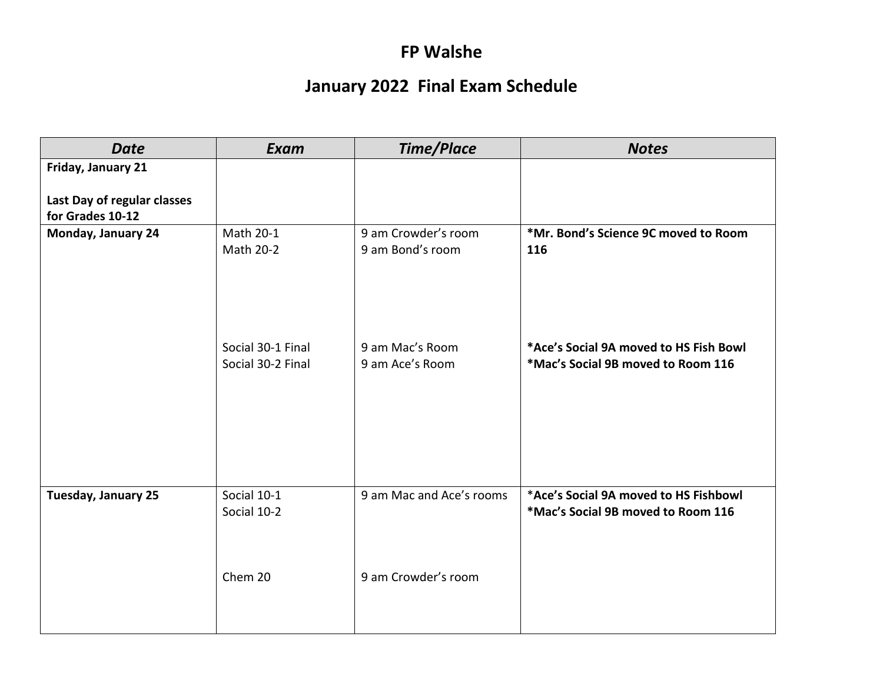## **FP Walshe**

## **January 2022 Final Exam Schedule**

| <b>Date</b>                                     | Exam                                   | <b>Time/Place</b>                  | <b>Notes</b>                                                                 |
|-------------------------------------------------|----------------------------------------|------------------------------------|------------------------------------------------------------------------------|
| Friday, January 21                              |                                        |                                    |                                                                              |
| Last Day of regular classes<br>for Grades 10-12 |                                        |                                    |                                                                              |
| Monday, January 24                              | Math 20-1                              | 9 am Crowder's room                | *Mr. Bond's Science 9C moved to Room                                         |
|                                                 | Math 20-2                              | 9 am Bond's room                   | 116                                                                          |
|                                                 | Social 30-1 Final<br>Social 30-2 Final | 9 am Mac's Room<br>9 am Ace's Room | *Ace's Social 9A moved to HS Fish Bowl<br>*Mac's Social 9B moved to Room 116 |
| Tuesday, January 25                             | Social 10-1<br>Social 10-2             | 9 am Mac and Ace's rooms           | *Ace's Social 9A moved to HS Fishbowl<br>*Mac's Social 9B moved to Room 116  |
|                                                 | Chem 20                                | 9 am Crowder's room                |                                                                              |